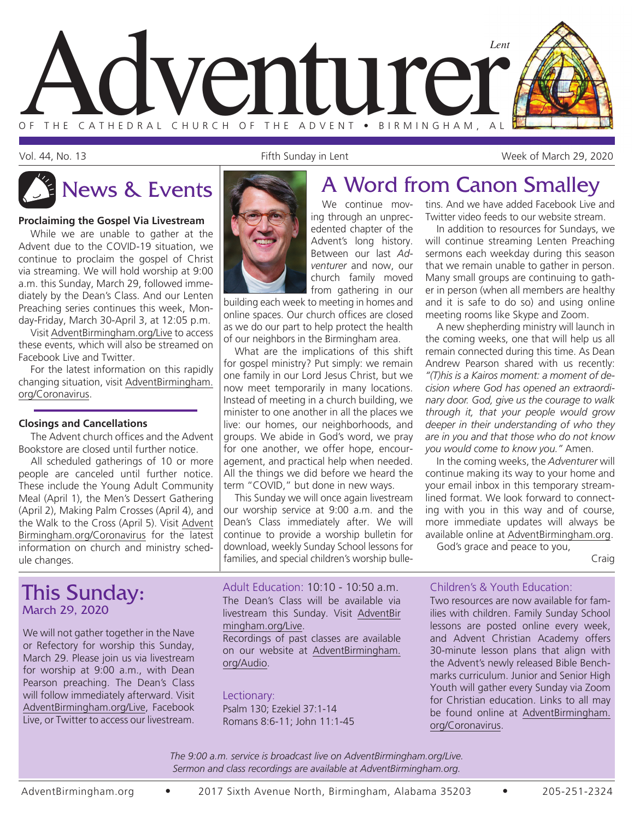

Vol. 44, No. 13 Fifth Sunday in Lent Week of March 29, 2020

#### **Proclaiming the Gospel Via Livestream**

While we are unable to gather at the Advent due to the COVID-19 situation, we continue to proclaim the gospel of Christ via streaming. We will hold worship at 9:00 a.m. this Sunday, March 29, followed immediately by the Dean's Class. And our Lenten Preaching series continues this week, Monday-Friday, March 30-April 3, at 12:05 p.m.

Visit AdventBirmingham.org/Live to access these events, which will also be streamed on Facebook Live and Twitter.

For the latest information on this rapidly changing situation, visit AdventBirmingham. org/Coronavirus.

#### **Closings and Cancellations**

The Advent church offices and the Advent Bookstore are closed until further notice.

All scheduled gatherings of 10 or more people are canceled until further notice. These include the Young Adult Community Meal (April 1), the Men's Dessert Gathering (April 2), Making Palm Crosses (April 4), and the Walk to the Cross (April 5). Visit Advent Birmingham.org/Coronavirus for the latest information on church and ministry schedule changes.

### This Sunday: March 29, 2020

We will not gather together in the Nave or Refectory for worship this Sunday, March 29. Please join us via livestream for worship at 9:00 a.m., with Dean Pearson preaching. The Dean's Class will follow immediately afterward. Visit AdventBirmingham.org/Live, Facebook Live, or Twitter to access our livestream.



ing through an unprecedented chapter of the Advent's long history. Between our last *Adventurer* and now, our church family moved from gathering in our

building each week to meeting in homes and online spaces. Our church offices are closed as we do our part to help protect the health of our neighbors in the Birmingham area.

What are the implications of this shift for gospel ministry? Put simply: we remain one family in our Lord Jesus Christ, but we now meet temporarily in many locations. Instead of meeting in a church building, we minister to one another in all the places we live: our homes, our neighborhoods, and groups. We abide in God's word, we pray for one another, we offer hope, encouragement, and practical help when needed. All the things we did before we heard the term "COVID," but done in new ways.

This Sunday we will once again livestream our worship service at 9:00 a.m. and the Dean's Class immediately after. We will continue to provide a worship bulletin for download, weekly Sunday School lessons for families, and special children's worship bulle-

Adult Education: 10:10 - 10:50 a.m. The Dean's Class will be available via livestream this Sunday. Visit AdventBir mingham.org/Live.

Recordings of past classes are available on our website at AdventBirmingham. org/Audio.

#### Lectionary:

Psalm 130; Ezekiel 37:1-14 Romans 8:6-11; John 11:1-45

# News & Events **A Word from Canon Smalley**

We continue movtins. And we have added Facebook Live and Twitter video feeds to our website stream. In addition to resources for Sundays, we

will continue streaming Lenten Preaching sermons each weekday during this season that we remain unable to gather in person. Many small groups are continuing to gather in person (when all members are healthy and it is safe to do so) and using online meeting rooms like Skype and Zoom.

A new shepherding ministry will launch in the coming weeks, one that will help us all remain connected during this time. As Dean Andrew Pearson shared with us recently: *"(T)his is a Kairos moment: a moment of decision where God has opened an extraordinary door. God, give us the courage to walk through it, that your people would grow deeper in their understanding of who they are in you and that those who do not know you would come to know you."* Amen.

In the coming weeks, the *Adventurer* will continue making its way to your home and your email inbox in this temporary streamlined format. We look forward to connecting with you in this way and of course, more immediate updates will always be available online at AdventBirmingham.org.

God's grace and peace to you,

Craig

#### Children's & Youth Education:

Two resources are now available for families with children. Family Sunday School lessons are posted online every week, and Advent Christian Academy offers 30-minute lesson plans that align with the Advent's newly released Bible Benchmarks curriculum. Junior and Senior High Youth will gather every Sunday via Zoom for Christian education. Links to all may be found online at AdventBirmingham. org/Coronavirus.

*The 9:00 a.m. service is broadcast live on AdventBirmingham.org/Live. Sermon and class recordings are available at AdventBirmingham.org.*